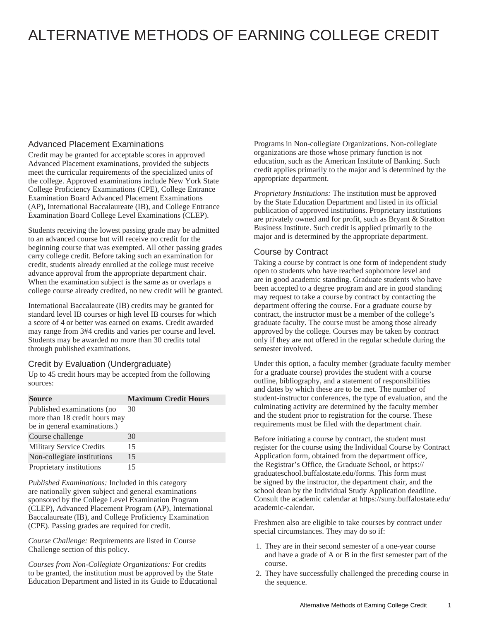# ALTERNATIVE METHODS OF EARNING COLLEGE CREDIT

## Advanced Placement Examinations

Credit may be granted for acceptable scores in approved Advanced Placement examinations, provided the subjects meet the curricular requirements of the specialized units of the college. Approved examinations include New York State College Proficiency Examinations (CPE), College Entrance Examination Board Advanced Placement Examinations (AP), International Baccalaureate (IB), and College Entrance Examination Board College Level Examinations (CLEP).

Students receiving the lowest passing grade may be admitted to an advanced course but will receive no credit for the beginning course that was exempted. All other passing grades carry college credit. Before taking such an examination for credit, students already enrolled at the college must receive advance approval from the appropriate department chair. When the examination subject is the same as or overlaps a college course already credited, no new credit will be granted.

International Baccalaureate (IB) credits may be granted for standard level IB courses or high level IB courses for which a score of 4 or better was earned on exams. Credit awarded may range from 3#4 credits and varies per course and level. Students may be awarded no more than 30 credits total through published examinations.

#### Credit by Evaluation (Undergraduate)

Up to 45 credit hours may be accepted from the following sources:

| <b>Source</b>                                                                               | <b>Maximum Credit Hours</b> |
|---------------------------------------------------------------------------------------------|-----------------------------|
| Published examinations (no<br>more than 18 credit hours may<br>be in general examinations.) | 30                          |
| Course challenge                                                                            | 30                          |
| <b>Military Service Credits</b>                                                             | 15                          |
| Non-collegiate institutions                                                                 | 15                          |
| Proprietary institutions                                                                    | 15                          |

*Published Examinations:* Included in this category are nationally given subject and general examinations sponsored by the College Level Examination Program (CLEP), Advanced Placement Program (AP), International Baccalaureate (IB), and College Proficiency Examination (CPE). Passing grades are required for credit.

*Course Challenge:* Requirements are listed in Course Challenge section of this policy.

*Courses from Non-Collegiate Organizations:* For credits to be granted, the institution must be approved by the State Education Department and listed in its Guide to Educational Programs in Non-collegiate Organizations. Non-collegiate organizations are those whose primary function is not education, such as the American Institute of Banking. Such credit applies primarily to the major and is determined by the appropriate department.

*Proprietary Institutions:* The institution must be approved by the State Education Department and listed in its official publication of approved institutions. Proprietary institutions are privately owned and for profit, such as Bryant & Stratton Business Institute. Such credit is applied primarily to the major and is determined by the appropriate department.

#### Course by Contract

Taking a course by contract is one form of independent study open to students who have reached sophomore level and are in good academic standing. Graduate students who have been accepted to a degree program and are in good standing may request to take a course by contract by contacting the department offering the course. For a graduate course by contract, the instructor must be a member of the college's graduate faculty. The course must be among those already approved by the college. Courses may be taken by contract only if they are not offered in the regular schedule during the semester involved.

Under this option, a faculty member (graduate faculty member for a graduate course) provides the student with a course outline, bibliography, and a statement of responsibilities and dates by which these are to be met. The number of student-instructor conferences, the type of evaluation, and the culminating activity are determined by the faculty member and the student prior to registration for the course. These requirements must be filed with the department chair.

Before initiating a course by contract, the student must register for the course using the Individual Course by Contract Application form, obtained from the department office, the Registrar's Office, the Graduate School, or https:// graduateschool.buffalostate.edu/forms. This form must be signed by the instructor, the department chair, and the school dean by the Individual Study Application deadline. Consult the academic calendar at https://suny.buffalostate.edu/ academic-calendar.

Freshmen also are eligible to take courses by contract under special circumstances. They may do so if:

- 1. They are in their second semester of a one-year course and have a grade of A or B in the first semester part of the course.
- 2. They have successfully challenged the preceding course in the sequence.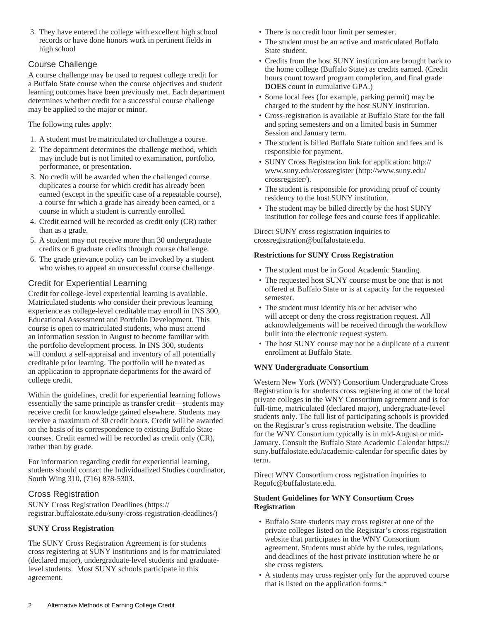3. They have entered the college with excellent high school records or have done honors work in pertinent fields in high school

#### Course Challenge

A course challenge may be used to request college credit for a Buffalo State course when the course objectives and student learning outcomes have been previously met. Each department determines whether credit for a successful course challenge may be applied to the major or minor.

The following rules apply:

- 1. A student must be matriculated to challenge a course.
- 2. The department determines the challenge method, which may include but is not limited to examination, portfolio, performance, or presentation.
- 3. No credit will be awarded when the challenged course duplicates a course for which credit has already been earned (except in the specific case of a repeatable course), a course for which a grade has already been earned, or a course in which a student is currently enrolled.
- 4. Credit earned will be recorded as credit only (CR) rather than as a grade.
- 5. A student may not receive more than 30 undergraduate credits or 6 graduate credits through course challenge.
- 6. The grade grievance policy can be invoked by a student who wishes to appeal an unsuccessful course challenge.

## Credit for Experiential Learning

Credit for college-level experiential learning is available. Matriculated students who consider their previous learning experience as college-level creditable may enroll in INS 300, Educational Assessment and Portfolio Development. This course is open to matriculated students, who must attend an information session in August to become familiar with the portfolio development process. In INS 300, students will conduct a self-appraisal and inventory of all potentially creditable prior learning. The portfolio will be treated as an application to appropriate departments for the award of college credit.

Within the guidelines, credit for experiential learning follows essentially the same principle as transfer credit—students may receive credit for knowledge gained elsewhere. Students may receive a maximum of 30 credit hours. Credit will be awarded on the basis of its correspondence to existing Buffalo State courses. Credit earned will be recorded as credit only (CR), rather than by grade.

For information regarding credit for experiential learning, students should contact the Individualized Studies coordinator, South Wing 310, (716) 878-5303.

#### Cross Registration

[SUNY Cross Registration Deadlines](https://registrar.buffalostate.edu/suny-cross-registration-deadlines/) [\(https://](https://registrar.buffalostate.edu/suny-cross-registration-deadlines/) [registrar.buffalostate.edu/suny-cross-registration-deadlines/](https://registrar.buffalostate.edu/suny-cross-registration-deadlines/))

#### **SUNY Cross Registration**

The SUNY Cross Registration Agreement is for students cross registering at SUNY institutions and is for matriculated (declared major), undergraduate-level students and graduatelevel students. Most SUNY schools participate in this agreement.

- There is no credit hour limit per semester.
- The student must be an active and matriculated Buffalo State student.
- Credits from the host SUNY institution are brought back to the home college (Buffalo State) as credits earned. (Credit hours count toward program completion, and final grade **DOES** count in cumulative GPA.)
- Some local fees (for example, parking permit) may be charged to the student by the host SUNY institution.
- Cross-registration is available at Buffalo State for the fall and spring semesters and on a limited basis in Summer Session and January term.
- The student is billed Buffalo State tuition and fees and is responsible for payment.
- SUNY Cross Registration link for application: [http://](http://www.suny.edu/crossregister/) [www.suny.edu/crossregister](http://www.suny.edu/crossregister/) [\(http://www.suny.edu/](http://www.suny.edu/crossregister/) [crossregister/](http://www.suny.edu/crossregister/)).
- The student is responsible for providing proof of county residency to the host SUNY institution.
- The student may be billed directly by the host SUNY institution for college fees and course fees if applicable.

Direct SUNY cross registration inquiries to [crossregistration@buffalostate.edu](mailto:crossregistration@buffalostate.edu).

#### **Restrictions for SUNY Cross Registration**

- The student must be in Good Academic Standing.
- The requested host SUNY course must be one that is not offered at Buffalo State or is at capacity for the requested semester.
- The student must identify his or her adviser who will accept or deny the cross registration request. All acknowledgements will be received through the workflow built into the electronic request system.
- The host SUNY course may not be a duplicate of a current enrollment at Buffalo State.

#### **WNY Undergraduate Consortium**

Western New York (WNY) Consortium Undergraduate Cross Registration is for students cross registering at one of the local private colleges in the WNY Consortium agreement and is for full-time, matriculated (declared major), undergraduate-level students only. The full list of participating schools is provided on the Registrar's cross registration website. The deadline for the WNY Consortium typically is in mid-August or mid-January. Consult the Buffalo State Academic Calendar https:// suny.buffalostate.edu/academic-calendar for specific dates by term.

Direct WNY Consortium cross registration inquiries to [Regofc@buffalostate.edu](mailto:Regofc@buffalostate.edu).

#### **Student Guidelines for WNY Consortium Cross Registration**

- Buffalo State students may cross register at one of the private colleges listed on the Registrar's cross registration website that participates in the WNY Consortium agreement. Students must abide by the rules, regulations, and deadlines of the host private institution where he or she cross registers.
- A students may cross register only for the approved course that is listed on the application forms.\*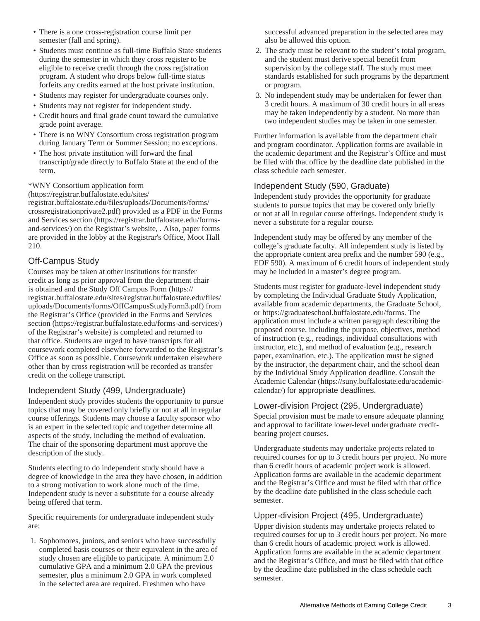- There is a one cross-registration course limit per semester (fall and spring).
- Students must continue as full-time Buffalo State students during the semester in which they cross register to be eligible to receive credit through the cross registration program. A student who drops below full-time status forfeits any credits earned at the host private institution.
- Students may register for undergraduate courses only.
- Students may not register for independent study.
- Credit hours and final grade count toward the cumulative grade point average.
- There is no WNY Consortium cross registration program during January Term or Summer Session; no exceptions.
- The host private institution will forward the final transcript/grade directly to Buffalo State at the end of the term.

\*[WNY Consortium application form](https://registrar.buffalostate.edu/sites/registrar.buffalostate.edu/files/uploads/Documents/forms/crossregistrationprivate2.pdf)

[\(https://registrar.buffalostate.edu/sites/](https://registrar.buffalostate.edu/sites/registrar.buffalostate.edu/files/uploads/Documents/forms/crossregistrationprivate2.pdf) [registrar.buffalostate.edu/files/uploads/Documents/forms/](https://registrar.buffalostate.edu/sites/registrar.buffalostate.edu/files/uploads/Documents/forms/crossregistrationprivate2.pdf) [crossregistrationprivate2.pdf\)](https://registrar.buffalostate.edu/sites/registrar.buffalostate.edu/files/uploads/Documents/forms/crossregistrationprivate2.pdf) provided as a PDF in the [Forms](https://registrar.buffalostate.edu/forms-and-services/) [and Services section \(https://registrar.buffalostate.edu/forms](https://registrar.buffalostate.edu/forms-and-services/)[and-services/\)](https://registrar.buffalostate.edu/forms-and-services/) on the Registrar's website, . Also, paper forms are provided in the lobby at the Registrar's Office, Moot Hall 210.

## Off-Campus Study

Courses may be taken at other institutions for transfer credit as long as prior approval from the department chair is obtained and the [Study Off Campus Form](https://registrar.buffalostate.edu/sites/registrar.buffalostate.edu/files/uploads/Documents/forms/OffCampusStudyForm3.pdf) ([https://](https://registrar.buffalostate.edu/sites/registrar.buffalostate.edu/files/uploads/Documents/forms/OffCampusStudyForm3.pdf) [registrar.buffalostate.edu/sites/registrar.buffalostate.edu/files/](https://registrar.buffalostate.edu/sites/registrar.buffalostate.edu/files/uploads/Documents/forms/OffCampusStudyForm3.pdf) [uploads/Documents/forms/OffCampusStudyForm3.pdf\)](https://registrar.buffalostate.edu/sites/registrar.buffalostate.edu/files/uploads/Documents/forms/OffCampusStudyForm3.pdf) from the Registrar's Office (provided in the [Forms and Services](https://registrar.buffalostate.edu/forms-and-services/) [section](https://registrar.buffalostate.edu/forms-and-services/) [\(https://registrar.buffalostate.edu/forms-and-services/](https://registrar.buffalostate.edu/forms-and-services/)) of the Registrar's website) is completed and returned to that office. Students are urged to have transcripts for all coursework completed elsewhere forwarded to the Registrar's Office as soon as possible. Coursework undertaken elsewhere other than by cross registration will be recorded as transfer credit on the college transcript.

#### Independent Study (499, Undergraduate)

Independent study provides students the opportunity to pursue topics that may be covered only briefly or not at all in regular course offerings. Students may choose a faculty sponsor who is an expert in the selected topic and together determine all aspects of the study, including the method of evaluation. The chair of the sponsoring department must approve the description of the study.

Students electing to do independent study should have a degree of knowledge in the area they have chosen, in addition to a strong motivation to work alone much of the time. Independent study is never a substitute for a course already being offered that term.

Specific requirements for undergraduate independent study are:

1. Sophomores, juniors, and seniors who have successfully completed basis courses or their equivalent in the area of study chosen are eligible to participate. A minimum 2.0 cumulative GPA and a minimum 2.0 GPA the previous semester, plus a minimum 2.0 GPA in work completed in the selected area are required. Freshmen who have

successful advanced preparation in the selected area may also be allowed this option.

- 2. The study must be relevant to the student's total program, and the student must derive special benefit from supervision by the college staff. The study must meet standards established for such programs by the department or program.
- 3. No independent study may be undertaken for fewer than 3 credit hours. A maximum of 30 credit hours in all areas may be taken independently by a student. No more than two independent studies may be taken in one semester.

Further information is available from the department chair and program coordinator. Application forms are available in the academic department and the Registrar's Office and must be filed with that office by the deadline date published in the class schedule each semester.

## Independent Study (590, Graduate)

Independent study provides the opportunity for graduate students to pursue topics that may be covered only briefly or not at all in regular course offerings. Independent study is never a substitute for a regular course.

Independent study may be offered by any member of the college's graduate faculty. All independent study is listed by the appropriate content area prefix and the number 590 (e.g., EDF 590). A maximum of 6 credit hours of independent study may be included in a master's degree program.

Students must register for graduate-level independent study by completing the Individual Graduate Study Application, available from academic departments, the Graduate School, or https://graduateschool.buffalostate.edu/forms. The application must include a written paragraph describing the proposed course, including the purpose, objectives, method of instruction (e.g., readings, individual consultations with instructor, etc.), and method of evaluation (e.g., research paper, examination, etc.). The application must be signed by the instructor, the department chair, and the school dean by the Individual Study Application deadline. Consult the [Academic Calendar](https://suny.buffalostate.edu/academic-calendar/) ([https://suny.buffalostate.edu/academic](https://suny.buffalostate.edu/academic-calendar/)[calendar/\)](https://suny.buffalostate.edu/academic-calendar/) for appropriate deadlines.

#### Lower-division Project (295, Undergraduate)

Special provision must be made to ensure adequate planning and approval to facilitate lower-level undergraduate creditbearing project courses.

Undergraduate students may undertake projects related to required courses for up to 3 credit hours per project. No more than 6 credit hours of academic project work is allowed. Application forms are available in the academic department and the Registrar's Office and must be filed with that office by the deadline date published in the class schedule each semester.

#### Upper-division Project (495, Undergraduate)

Upper division students may undertake projects related to required courses for up to 3 credit hours per project. No more than 6 credit hours of academic project work is allowed. Application forms are available in the academic department and the Registrar's Office, and must be filed with that office by the deadline date published in the class schedule each semester.